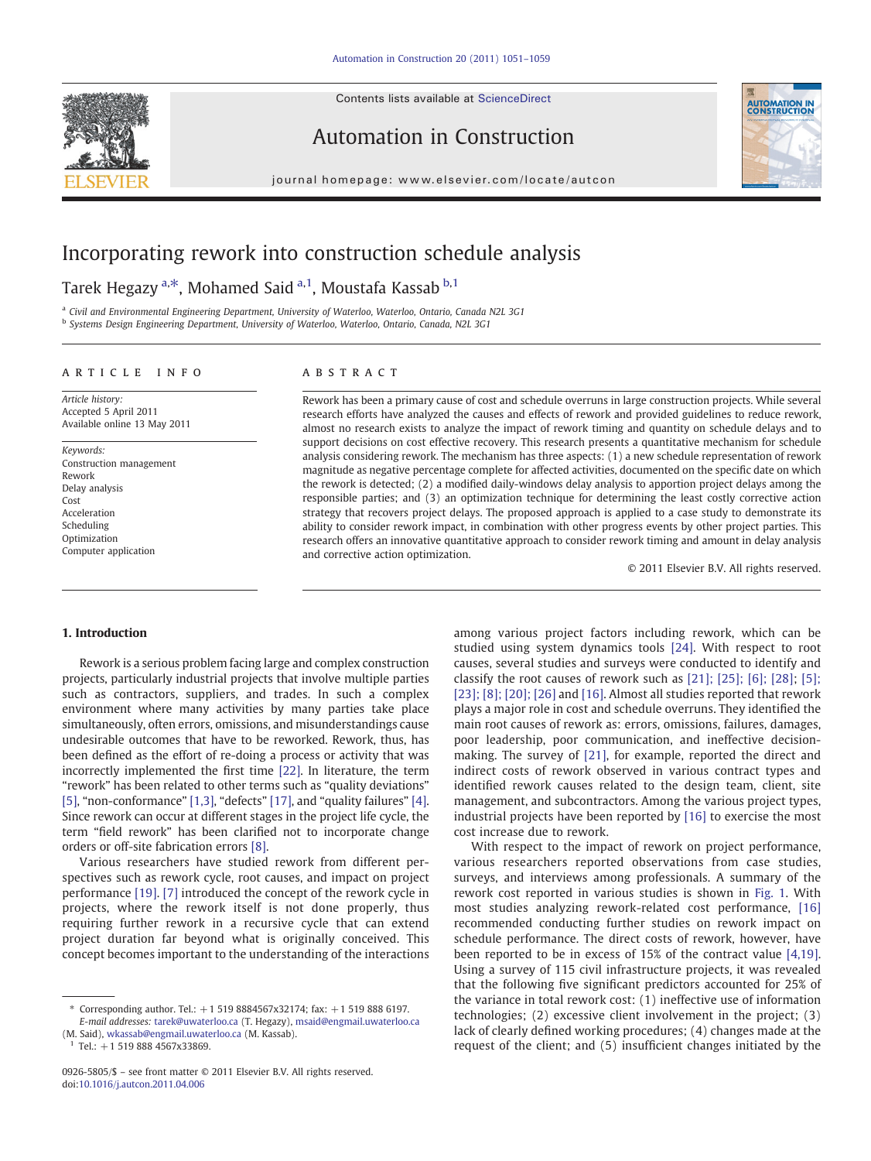Contents lists available at ScienceDirect



Automation in Construction



journal homepage: www.elsevier.com/locate/autcon

# Incorporating rework into construction schedule analysis

## Tarek Hegazy <sup>a, $\ast$ </sup>, Mohamed Said <sup>a,1</sup>, Moustafa Kassab <sup>b,1</sup>

<sup>a</sup> Civil and Environmental Engineering Department, University of Waterloo, Waterloo, Ontario, Canada N2L 3G1 <sup>b</sup> Systems Design Engineering Department, University of Waterloo, Waterloo, Ontario, Canada, N2L 3G1

### article info abstract

Article history: Accepted 5 April 2011 Available online 13 May 2011

Keywords: Construction management Rework Delay analysis Cost Acceleration Scheduling Optimization Computer application

Rework has been a primary cause of cost and schedule overruns in large construction projects. While several research efforts have analyzed the causes and effects of rework and provided guidelines to reduce rework, almost no research exists to analyze the impact of rework timing and quantity on schedule delays and to support decisions on cost effective recovery. This research presents a quantitative mechanism for schedule analysis considering rework. The mechanism has three aspects: (1) a new schedule representation of rework magnitude as negative percentage complete for affected activities, documented on the specific date on which the rework is detected; (2) a modified daily-windows delay analysis to apportion project delays among the responsible parties; and (3) an optimization technique for determining the least costly corrective action strategy that recovers project delays. The proposed approach is applied to a case study to demonstrate its ability to consider rework impact, in combination with other progress events by other project parties. This research offers an innovative quantitative approach to consider rework timing and amount in delay analysis and corrective action optimization.

© 2011 Elsevier B.V. All rights reserved.

### 1. Introduction

Rework is a serious problem facing large and complex construction projects, particularly industrial projects that involve multiple parties such as contractors, suppliers, and trades. In such a complex environment where many activities by many parties take place simultaneously, often errors, omissions, and misunderstandings cause undesirable outcomes that have to be reworked. Rework, thus, has been defined as the effort of re-doing a process or activity that was incorrectly implemented the first time [\[22\].](#page--1-0) In literature, the term "rework" has been related to other terms such as "quality deviations" [\[5\],](#page--1-0) "non-conformance" [\[1,3\]](#page--1-0), "defects" [\[17\]](#page--1-0), and "quality failures" [\[4\].](#page--1-0) Since rework can occur at different stages in the project life cycle, the term "field rework" has been clarified not to incorporate change orders or off-site fabrication errors [\[8\]](#page--1-0).

Various researchers have studied rework from different perspectives such as rework cycle, root causes, and impact on project performance [\[19\]](#page--1-0). [\[7\]](#page--1-0) introduced the concept of the rework cycle in projects, where the rework itself is not done properly, thus requiring further rework in a recursive cycle that can extend project duration far beyond what is originally conceived. This concept becomes important to the understanding of the interactions

among various project factors including rework, which can be studied using system dynamics tools [\[24\]](#page--1-0). With respect to root causes, several studies and surveys were conducted to identify and classify the root causes of rework such as  $[21]$ ;  $[25]$ ;  $[6]$ ;  $[28]$ ;  $[5]$ ; [\[23\]; \[8\]; \[20\]; \[26\]](#page--1-0) and [\[16\].](#page--1-0) Almost all studies reported that rework plays a major role in cost and schedule overruns. They identified the main root causes of rework as: errors, omissions, failures, damages, poor leadership, poor communication, and ineffective decisionmaking. The survey of [\[21\],](#page--1-0) for example, reported the direct and indirect costs of rework observed in various contract types and identified rework causes related to the design team, client, site management, and subcontractors. Among the various project types, industrial projects have been reported by [\[16\]](#page--1-0) to exercise the most cost increase due to rework.

With respect to the impact of rework on project performance, various researchers reported observations from case studies, surveys, and interviews among professionals. A summary of the rework cost reported in various studies is shown in [Fig. 1](#page-1-0). With most studies analyzing rework-related cost performance, [\[16\]](#page--1-0) recommended conducting further studies on rework impact on schedule performance. The direct costs of rework, however, have been reported to be in excess of 15% of the contract value [\[4,19\].](#page--1-0) Using a survey of 115 civil infrastructure projects, it was revealed that the following five significant predictors accounted for 25% of the variance in total rework cost: (1) ineffective use of information technologies; (2) excessive client involvement in the project; (3) lack of clearly defined working procedures; (4) changes made at the request of the client; and (5) insufficient changes initiated by the

<sup>⁎</sup> Corresponding author. Tel.: +1 519 8884567x32174; fax: +1 519 888 6197. E-mail addresses: [tarek@uwaterloo.ca](mailto:tarek@uwaterloo.ca) (T. Hegazy), [msaid@engmail.uwaterloo.ca](mailto:msaid@engmail.uwaterloo.ca) (M. Said), [wkassab@engmail.uwaterloo.ca](mailto:wkassab@engmail.uwaterloo.ca) (M. Kassab).

 $Tel.: +1 519 888 4567x33869.$ 

<sup>0926-5805/\$</sup> – see front matter © 2011 Elsevier B.V. All rights reserved. doi:[10.1016/j.autcon.2011.04.006](http://dx.doi.org/10.1016/j.autcon.2011.04.006)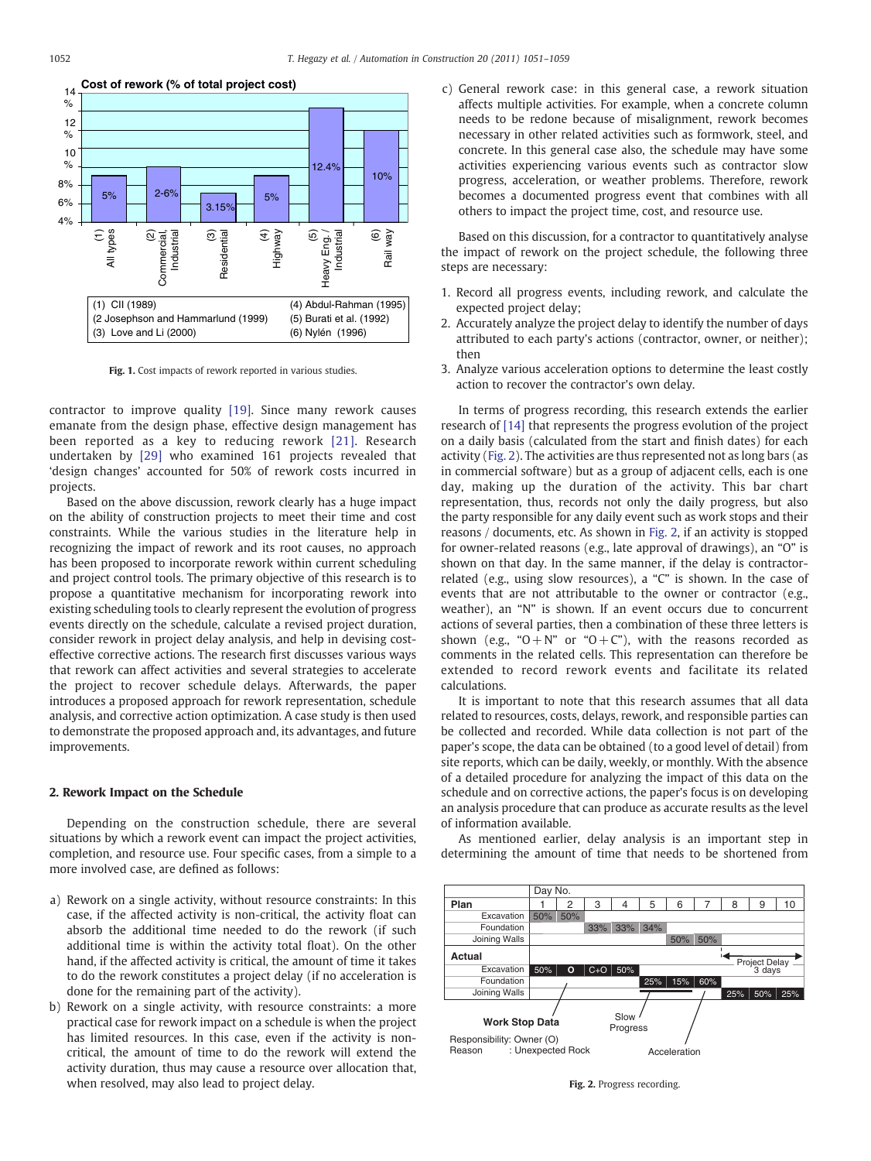<span id="page-1-0"></span>

Fig. 1. Cost impacts of rework reported in various studies.

contractor to improve quality [\[19\].](#page--1-0) Since many rework causes emanate from the design phase, effective design management has been reported as a key to reducing rework [\[21\].](#page--1-0) Research undertaken by [\[29\]](#page--1-0) who examined 161 projects revealed that 'design changes' accounted for 50% of rework costs incurred in projects.

Based on the above discussion, rework clearly has a huge impact on the ability of construction projects to meet their time and cost constraints. While the various studies in the literature help in recognizing the impact of rework and its root causes, no approach has been proposed to incorporate rework within current scheduling and project control tools. The primary objective of this research is to propose a quantitative mechanism for incorporating rework into existing scheduling tools to clearly represent the evolution of progress events directly on the schedule, calculate a revised project duration, consider rework in project delay analysis, and help in devising costeffective corrective actions. The research first discusses various ways that rework can affect activities and several strategies to accelerate the project to recover schedule delays. Afterwards, the paper introduces a proposed approach for rework representation, schedule analysis, and corrective action optimization. A case study is then used to demonstrate the proposed approach and, its advantages, and future improvements.

### 2. Rework Impact on the Schedule

Depending on the construction schedule, there are several situations by which a rework event can impact the project activities, completion, and resource use. Four specific cases, from a simple to a more involved case, are defined as follows:

- a) Rework on a single activity, without resource constraints: In this case, if the affected activity is non-critical, the activity float can absorb the additional time needed to do the rework (if such additional time is within the activity total float). On the other hand, if the affected activity is critical, the amount of time it takes to do the rework constitutes a project delay (if no acceleration is done for the remaining part of the activity).
- b) Rework on a single activity, with resource constraints: a more practical case for rework impact on a schedule is when the project has limited resources. In this case, even if the activity is noncritical, the amount of time to do the rework will extend the activity duration, thus may cause a resource over allocation that, when resolved, may also lead to project delay.

c) General rework case: in this general case, a rework situation affects multiple activities. For example, when a concrete column needs to be redone because of misalignment, rework becomes necessary in other related activities such as formwork, steel, and concrete. In this general case also, the schedule may have some activities experiencing various events such as contractor slow progress, acceleration, or weather problems. Therefore, rework becomes a documented progress event that combines with all others to impact the project time, cost, and resource use.

Based on this discussion, for a contractor to quantitatively analyse the impact of rework on the project schedule, the following three steps are necessary:

- 1. Record all progress events, including rework, and calculate the expected project delay;
- 2. Accurately analyze the project delay to identify the number of days attributed to each party's actions (contractor, owner, or neither); then
- 3. Analyze various acceleration options to determine the least costly action to recover the contractor's own delay.

In terms of progress recording, this research extends the earlier research of [\[14\]](#page--1-0) that represents the progress evolution of the project on a daily basis (calculated from the start and finish dates) for each activity (Fig. 2). The activities are thus represented not as long bars (as in commercial software) but as a group of adjacent cells, each is one day, making up the duration of the activity. This bar chart representation, thus, records not only the daily progress, but also the party responsible for any daily event such as work stops and their reasons / documents, etc. As shown in Fig. 2, if an activity is stopped for owner-related reasons (e.g., late approval of drawings), an "O" is shown on that day. In the same manner, if the delay is contractorrelated (e.g., using slow resources), a "C" is shown. In the case of events that are not attributable to the owner or contractor (e.g., weather), an "N" is shown. If an event occurs due to concurrent actions of several parties, then a combination of these three letters is shown (e.g., "O + N" or "O + C"), with the reasons recorded as comments in the related cells. This representation can therefore be extended to record rework events and facilitate its related calculations.

It is important to note that this research assumes that all data related to resources, costs, delays, rework, and responsible parties can be collected and recorded. While data collection is not part of the paper's scope, the data can be obtained (to a good level of detail) from site reports, which can be daily, weekly, or monthly. With the absence of a detailed procedure for analyzing the impact of this data on the schedule and on corrective actions, the paper's focus is on developing an analysis procedure that can produce as accurate results as the level of information available.

As mentioned earlier, delay analysis is an important step in determining the amount of time that needs to be shortened from



Fig. 2. Progress recording.